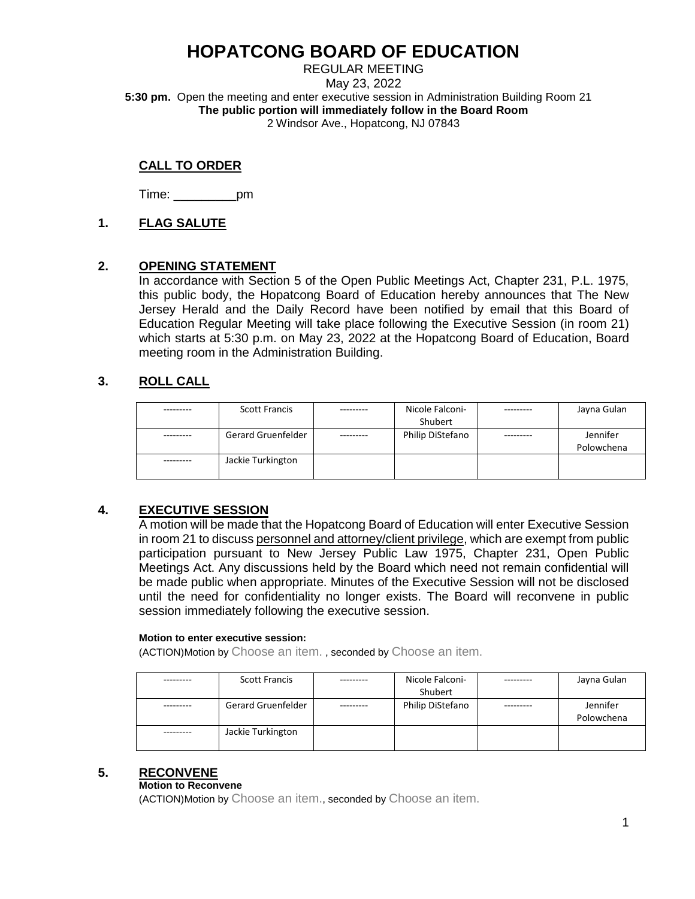REGULAR MEETING May 23, 2022 **5:30 pm.** Open the meeting and enter executive session in Administration Building Room 21 **The public portion will immediately follow in the Board Room** 2 Windsor Ave., Hopatcong, NJ 07843

## **CALL TO ORDER**

Time: \_\_\_\_\_\_\_\_\_pm

## **1. FLAG SALUTE**

### **2. OPENING STATEMENT**

In accordance with Section 5 of the Open Public Meetings Act, Chapter 231, P.L. 1975, this public body, the Hopatcong Board of Education hereby announces that The New Jersey Herald and the Daily Record have been notified by email that this Board of Education Regular Meeting will take place following the Executive Session (in room 21) which starts at 5:30 p.m. on May 23, 2022 at the Hopatcong Board of Education, Board meeting room in the Administration Building.

## **3. ROLL CALL**

| <b>Scott Francis</b> | Nicole Falconi-  | Jayna Gulan            |
|----------------------|------------------|------------------------|
|                      | Shubert          |                        |
| Gerard Gruenfelder   | Philip DiStefano | Jennifer<br>Polowchena |
| Jackie Turkington    |                  |                        |

## **4. EXECUTIVE SESSION**

A motion will be made that the Hopatcong Board of Education will enter Executive Session in room 21 to discuss personnel and attorney/client privilege, which are exempt from public participation pursuant to New Jersey Public Law 1975, Chapter 231, Open Public Meetings Act. Any discussions held by the Board which need not remain confidential will be made public when appropriate. Minutes of the Executive Session will not be disclosed until the need for confidentiality no longer exists. The Board will reconvene in public session immediately following the executive session.

### **Motion to enter executive session:**

(ACTION)Motion by Choose an item. , seconded by Choose an item.

| <b>Scott Francis</b>      | Nicole Falconi-<br>Shubert | Jayna Gulan            |
|---------------------------|----------------------------|------------------------|
| <b>Gerard Gruenfelder</b> | Philip DiStefano           | Jennifer<br>Polowchena |
| Jackie Turkington         |                            |                        |

## **5. RECONVENE**

### **Motion to Reconvene**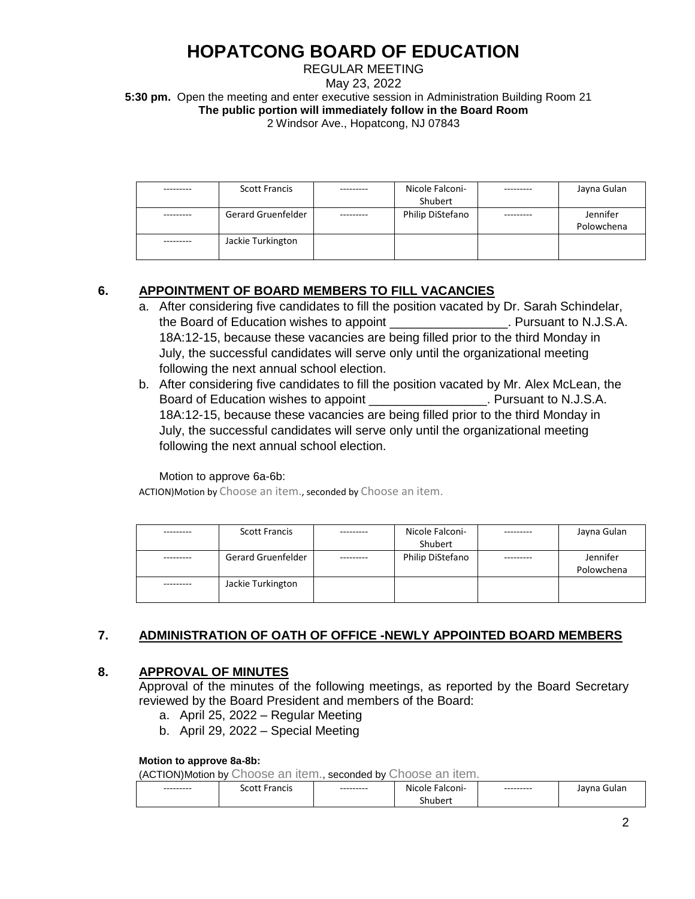REGULAR MEETING May 23, 2022 **5:30 pm.** Open the meeting and enter executive session in Administration Building Room 21 **The public portion will immediately follow in the Board Room** 2 Windsor Ave., Hopatcong, NJ 07843

| <b>Scott Francis</b>      | Nicole Falconi-<br>Shubert | Jayna Gulan            |
|---------------------------|----------------------------|------------------------|
| <b>Gerard Gruenfelder</b> | Philip DiStefano           | Jennifer<br>Polowchena |
| Jackie Turkington         |                            |                        |

## **6. APPOINTMENT OF BOARD MEMBERS TO FILL VACANCIES**

- a. After considering five candidates to fill the position vacated by Dr. Sarah Schindelar, the Board of Education wishes to appoint \_\_\_\_\_\_\_\_\_\_\_\_\_\_\_\_\_. Pursuant to N.J.S.A. 18A:12-15, because these vacancies are being filled prior to the third Monday in July, the successful candidates will serve only until the organizational meeting following the next annual school election.
- b. After considering five candidates to fill the position vacated by Mr. Alex McLean, the Board of Education wishes to appoint \_\_\_\_\_\_\_\_\_\_\_\_\_\_\_\_\_\_. Pursuant to N.J.S.A. 18A:12-15, because these vacancies are being filled prior to the third Monday in July, the successful candidates will serve only until the organizational meeting following the next annual school election.

Motion to approve 6a-6b:

ACTION)Motion by Choose an item., seconded by Choose an item.

| <b>Scott Francis</b>      | Nicole Falconi-  | Jayna Gulan            |
|---------------------------|------------------|------------------------|
|                           | Shubert          |                        |
| <b>Gerard Gruenfelder</b> | Philip DiStefano | Jennifer<br>Polowchena |
| Jackie Turkington         |                  |                        |

## **7. ADMINISTRATION OF OATH OF OFFICE -NEWLY APPOINTED BOARD MEMBERS**

## **8. APPROVAL OF MINUTES**

Approval of the minutes of the following meetings, as reported by the Board Secretary reviewed by the Board President and members of the Board:

- a. April 25, 2022 Regular Meeting
- b. April 29, 2022 Special Meeting

### **Motion to approve 8a-8b:**

| --------- | <b>Scott Francis</b> | --------- | Nicole Falconi- | --------- | Gulan<br>Jayna |
|-----------|----------------------|-----------|-----------------|-----------|----------------|
|           |                      |           | Shubert         |           |                |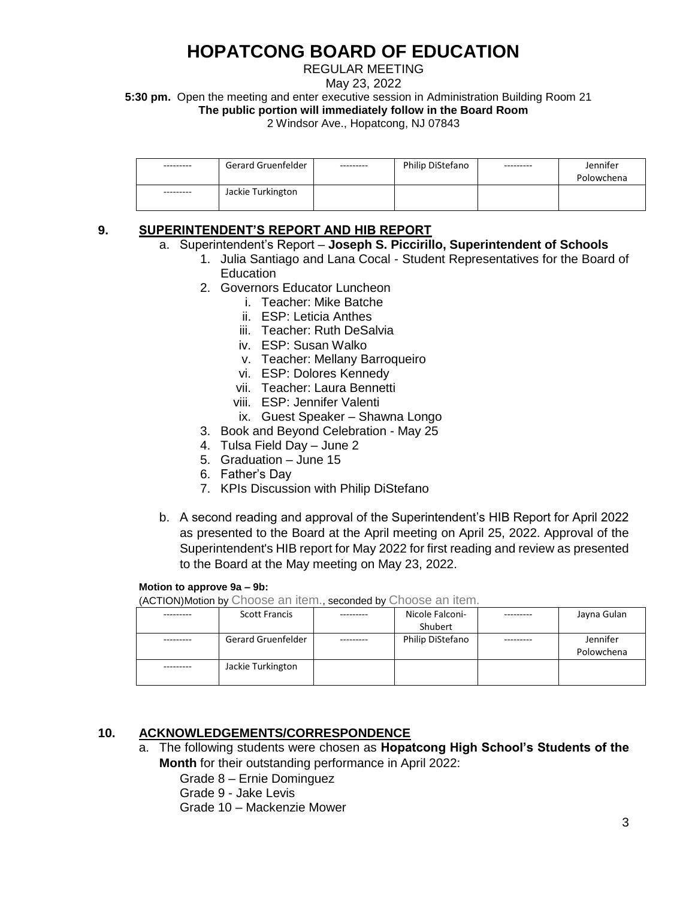## REGULAR MEETING

May 23, 2022

**5:30 pm.** Open the meeting and enter executive session in Administration Building Room 21 **The public portion will immediately follow in the Board Room**

2 Windsor Ave., Hopatcong, NJ 07843

| --------- | Gerard Gruenfelder | --------- | Philip DiStefano | --------- | Jennifer   |
|-----------|--------------------|-----------|------------------|-----------|------------|
|           |                    |           |                  |           | Polowchena |
| --------- | Jackie Turkington  |           |                  |           |            |

## **9. SUPERINTENDENT'S REPORT AND HIB REPORT**

- a. Superintendent's Report **Joseph S. Piccirillo, Superintendent of Schools**
	- 1. Julia Santiago and Lana Cocal Student Representatives for the Board of **Education** 
		- 2. Governors Educator Luncheon
			- i. Teacher: Mike Batche
			- ii. ESP: Leticia Anthes
			- iii. Teacher: Ruth DeSalvia
			- iv. ESP: Susan Walko
			- v. Teacher: Mellany Barroqueiro
			- vi. ESP: Dolores Kennedy
			- vii. Teacher: Laura Bennetti
			- viii. ESP: Jennifer Valenti
			- ix. Guest Speaker Shawna Longo
		- 3. Book and Beyond Celebration May 25
		- 4. Tulsa Field Day June 2
		- 5. Graduation June 15
		- 6. Father's Day
		- 7. KPIs Discussion with Philip DiStefano
- b. A second reading and approval of the Superintendent's HIB Report for April 2022 as presented to the Board at the April meeting on April 25, 2022. Approval of the Superintendent's HIB report for May 2022 for first reading and review as presented to the Board at the May meeting on May 23, 2022.

**Motion to approve 9a – 9b:**

(ACTION)Motion by Choose an item., seconded by Choose an item.

| <b>Scott Francis</b>      | Nicole Falconi-  | Jayna Gulan            |
|---------------------------|------------------|------------------------|
|                           | Shubert          |                        |
| <b>Gerard Gruenfelder</b> | Philip DiStefano | Jennifer<br>Polowchena |
| Jackie Turkington         |                  |                        |

## **10. ACKNOWLEDGEMENTS/CORRESPONDENCE**

a. The following students were chosen as **Hopatcong High School's Students of the Month** for their outstanding performance in April 2022:

Grade 8 – Ernie Dominguez

Grade 9 - Jake Levis

Grade 10 – Mackenzie Mower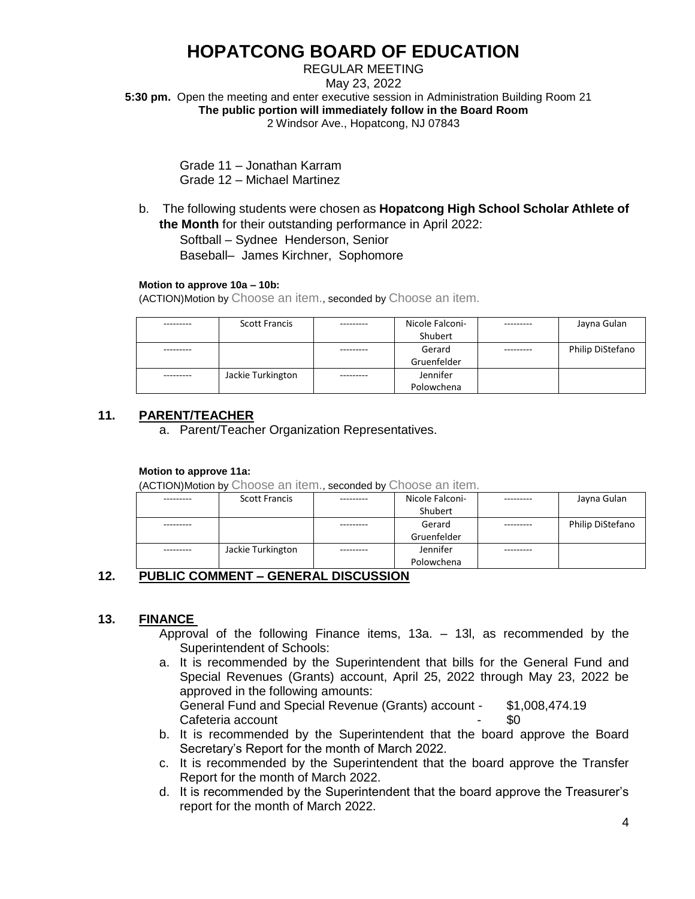REGULAR MEETING May 23, 2022 **5:30 pm.** Open the meeting and enter executive session in Administration Building Room 21 **The public portion will immediately follow in the Board Room** 2 Windsor Ave., Hopatcong, NJ 07843

> Grade 11 – Jonathan Karram Grade 12 – Michael Martinez

b. The following students were chosen as **Hopatcong High School Scholar Athlete of the Month** for their outstanding performance in April 2022:

Softball – Sydnee Henderson, Senior

Baseball– James Kirchner, Sophomore

### **Motion to approve 10a – 10b:**

(ACTION)Motion by Choose an item., seconded by Choose an item.

| <b>Scott Francis</b> | Nicole Falconi- | Jayna Gulan      |
|----------------------|-----------------|------------------|
|                      | Shubert         |                  |
|                      | Gerard          | Philip DiStefano |
|                      | Gruenfelder     |                  |
| Jackie Turkington    | Jennifer        |                  |
|                      | Polowchena      |                  |

## **11. PARENT/TEACHER**

a. Parent/Teacher Organization Representatives.

### **Motion to approve 11a:**

(ACTION)Motion by Choose an item., seconded by Choose an item.

| --------- | <b>Scott Francis</b> |          | Nicole Falconi- | Jayna Gulan      |
|-----------|----------------------|----------|-----------------|------------------|
|           |                      |          | Shubert         |                  |
|           |                      |          | Gerard          | Philip DiStefano |
|           |                      |          | Gruenfelder     |                  |
| --------- | Jackie Turkington    | -------- | Jennifer        |                  |
|           |                      |          | Polowchena      |                  |

## **12. PUBLIC COMMENT – GENERAL DISCUSSION**

### **13. FINANCE**

Approval of the following Finance items, 13a. – 13l, as recommended by the Superintendent of Schools:

- a. It is recommended by the Superintendent that bills for the General Fund and Special Revenues (Grants) account, April 25, 2022 through May 23, 2022 be approved in the following amounts: General Fund and Special Revenue (Grants) account - \$1,008,474.19 Cafeteria account the set of the set of the set of the set of the set of the set of the set of the set of the s
- b. It is recommended by the Superintendent that the board approve the Board Secretary's Report for the month of March 2022.
- c. It is recommended by the Superintendent that the board approve the Transfer Report for the month of March 2022.
- d. It is recommended by the Superintendent that the board approve the Treasurer's report for the month of March 2022.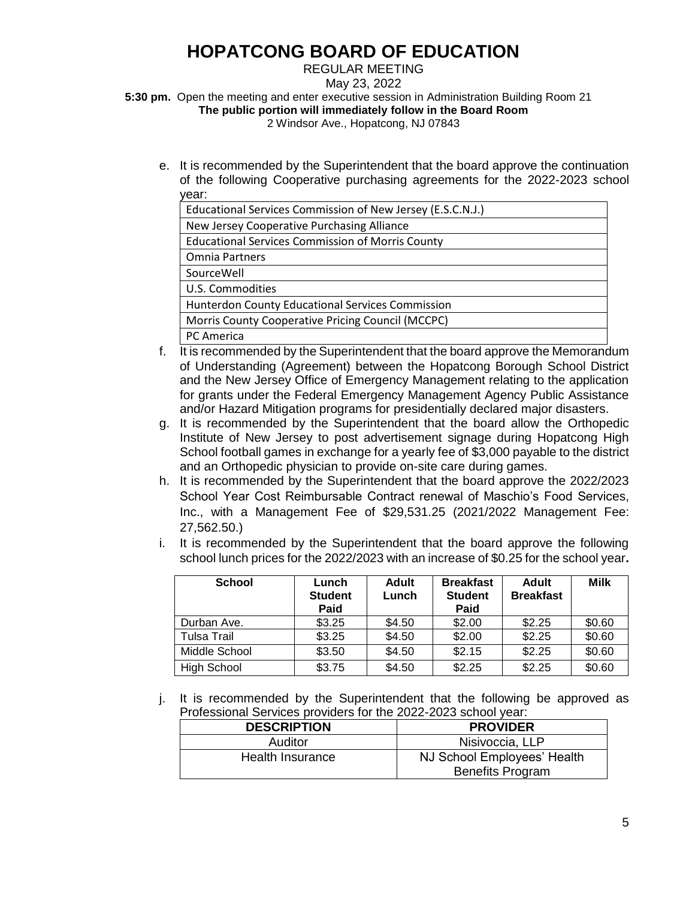REGULAR MEETING

May 23, 2022

**5:30 pm.** Open the meeting and enter executive session in Administration Building Room 21 **The public portion will immediately follow in the Board Room**

2 Windsor Ave., Hopatcong, NJ 07843

e. It is recommended by the Superintendent that the board approve the continuation of the following Cooperative purchasing agreements for the 2022-2023 school year:

| Educational Services Commission of New Jersey (E.S.C.N.J.) |
|------------------------------------------------------------|
| New Jersey Cooperative Purchasing Alliance                 |
| <b>Educational Services Commission of Morris County</b>    |
| <b>Omnia Partners</b>                                      |
| SourceWell                                                 |
| U.S. Commodities                                           |
| Hunterdon County Educational Services Commission           |
| Morris County Cooperative Pricing Council (MCCPC)          |
| PC America                                                 |

- f. It is recommended by the Superintendent that the board approve the Memorandum of Understanding (Agreement) between the Hopatcong Borough School District and the New Jersey Office of Emergency Management relating to the application for grants under the Federal Emergency Management Agency Public Assistance and/or Hazard Mitigation programs for presidentially declared major disasters.
- g. It is recommended by the Superintendent that the board allow the Orthopedic Institute of New Jersey to post advertisement signage during Hopatcong High School football games in exchange for a yearly fee of \$3,000 payable to the district and an Orthopedic physician to provide on-site care during games.
- h. It is recommended by the Superintendent that the board approve the 2022/2023 School Year Cost Reimbursable Contract renewal of Maschio's Food Services, Inc., with a Management Fee of \$29,531.25 (2021/2022 Management Fee: 27,562.50.)
- i. It is recommended by the Superintendent that the board approve the following school lunch prices for the 2022/2023 with an increase of \$0.25 for the school year**.**

| <b>School</b>      | Lunch<br><b>Student</b><br>Paid | Adult<br>Lunch | <b>Breakfast</b><br><b>Student</b><br>Paid | <b>Adult</b><br><b>Breakfast</b> | <b>Milk</b> |
|--------------------|---------------------------------|----------------|--------------------------------------------|----------------------------------|-------------|
| Durban Ave.        | \$3.25                          | \$4.50         | \$2.00                                     | \$2.25                           | \$0.60      |
| Tulsa Trail        | \$3.25                          | \$4.50         | \$2.00                                     | \$2.25                           | \$0.60      |
| Middle School      | \$3.50                          | \$4.50         | \$2.15                                     | \$2.25                           | \$0.60      |
| <b>High School</b> | \$3.75                          | \$4.50         | \$2.25                                     | \$2.25                           | \$0.60      |

j. It is recommended by the Superintendent that the following be approved as Professional Services providers for the 2022-2023 school year:

| <b>DESCRIPTION</b> |  | <b>PROVIDER</b>                                        |
|--------------------|--|--------------------------------------------------------|
| Auditor            |  | Nisivoccia, LLP                                        |
| Health Insurance   |  | NJ School Employees' Health<br><b>Benefits Program</b> |
|                    |  |                                                        |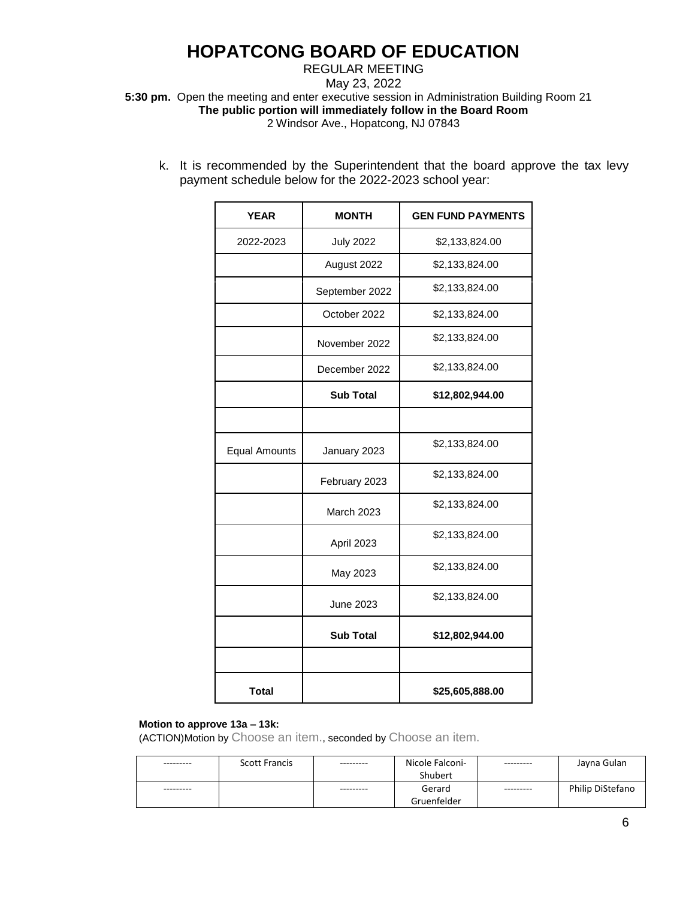REGULAR MEETING

May 23, 2022

**5:30 pm.** Open the meeting and enter executive session in Administration Building Room 21

**The public portion will immediately follow in the Board Room**

2 Windsor Ave., Hopatcong, NJ 07843

k. It is recommended by the Superintendent that the board approve the tax levy payment schedule below for the 2022-2023 school year:

| <b>YEAR</b>          | <b>MONTH</b>      | <b>GEN FUND PAYMENTS</b> |
|----------------------|-------------------|--------------------------|
| 2022-2023            | <b>July 2022</b>  | \$2,133,824.00           |
|                      | August 2022       | \$2,133,824.00           |
|                      | September 2022    | \$2,133,824.00           |
|                      | October 2022      | \$2,133,824.00           |
|                      | November 2022     | \$2,133,824.00           |
|                      | December 2022     | \$2,133,824.00           |
|                      | <b>Sub Total</b>  | \$12,802,944.00          |
|                      |                   |                          |
| <b>Equal Amounts</b> | January 2023      | \$2,133,824.00           |
|                      | February 2023     | \$2,133,824.00           |
|                      | <b>March 2023</b> | \$2,133,824.00           |
|                      | April 2023        | \$2,133,824.00           |
|                      | May 2023          | \$2,133,824.00           |
|                      | <b>June 2023</b>  | \$2,133,824.00           |
|                      | <b>Sub Total</b>  | \$12,802,944.00          |
|                      |                   |                          |
| <b>Total</b>         |                   | \$25,605,888.00          |

### **Motion to approve 13a – 13k:**

| --------- | <b>Scott Francis</b> | --------- | Nicole Falconi- | --------- | Jayna Gulan      |
|-----------|----------------------|-----------|-----------------|-----------|------------------|
|           |                      |           | Shubert         |           |                  |
| --------- |                      | --------- | Gerard          | --------- | Philip DiStefano |
|           |                      |           | Gruenfelder     |           |                  |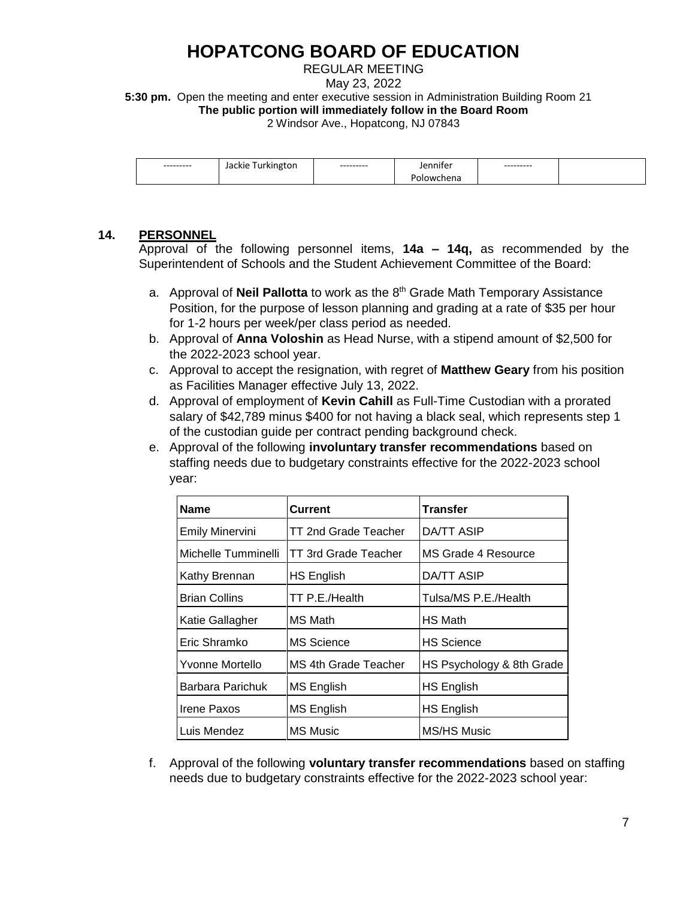REGULAR MEETING

May 23, 2022

**5:30 pm.** Open the meeting and enter executive session in Administration Building Room 21 **The public portion will immediately follow in the Board Room**

2 Windsor Ave., Hopatcong, NJ 07843

| --------- | --------- | $\sim$ $\sim$ $\sim$ | --------- |  |
|-----------|-----------|----------------------|-----------|--|
|           |           | EHO                  |           |  |

### **14. PERSONNEL**

Approval of the following personnel items, **14a – 14q,** as recommended by the Superintendent of Schools and the Student Achievement Committee of the Board:

- a. Approval of **Neil Pallotta** to work as the 8<sup>th</sup> Grade Math Temporary Assistance Position, for the purpose of lesson planning and grading at a rate of \$35 per hour for 1-2 hours per week/per class period as needed.
- b. Approval of **Anna Voloshin** as Head Nurse, with a stipend amount of \$2,500 for the 2022-2023 school year.
- c. Approval to accept the resignation, with regret of **Matthew Geary** from his position as Facilities Manager effective July 13, 2022.
- d. Approval of employment of **Kevin Cahill** as Full-Time Custodian with a prorated salary of \$42,789 minus \$400 for not having a black seal, which represents step 1 of the custodian guide per contract pending background check.
- e. Approval of the following **involuntary transfer recommendations** based on staffing needs due to budgetary constraints effective for the 2022-2023 school year:

| <b>Name</b>            | Current                     | <b>Transfer</b>           |
|------------------------|-----------------------------|---------------------------|
| <b>Emily Minervini</b> | <b>TT 2nd Grade Teacher</b> | DA/TT ASIP                |
| Michelle Tumminelli    | TT 3rd Grade Teacher        | MS Grade 4 Resource       |
| Kathy Brennan          | <b>HS English</b>           | <b>DA/TT ASIP</b>         |
| <b>Brian Collins</b>   | TT P.E./Health              | Tulsa/MS P.E./Health      |
| Katie Gallagher        | MS Math                     | <b>HS Math</b>            |
| Eric Shramko           | <b>MS Science</b>           | <b>HS Science</b>         |
| Yvonne Mortello        | MS 4th Grade Teacher        | HS Psychology & 8th Grade |
| Barbara Parichuk       | MS English                  | <b>HS English</b>         |
| Irene Paxos            | MS English                  | HS English                |
| Luis Mendez            | <b>MS Music</b>             | MS/HS Music               |

f. Approval of the following **voluntary transfer recommendations** based on staffing needs due to budgetary constraints effective for the 2022-2023 school year: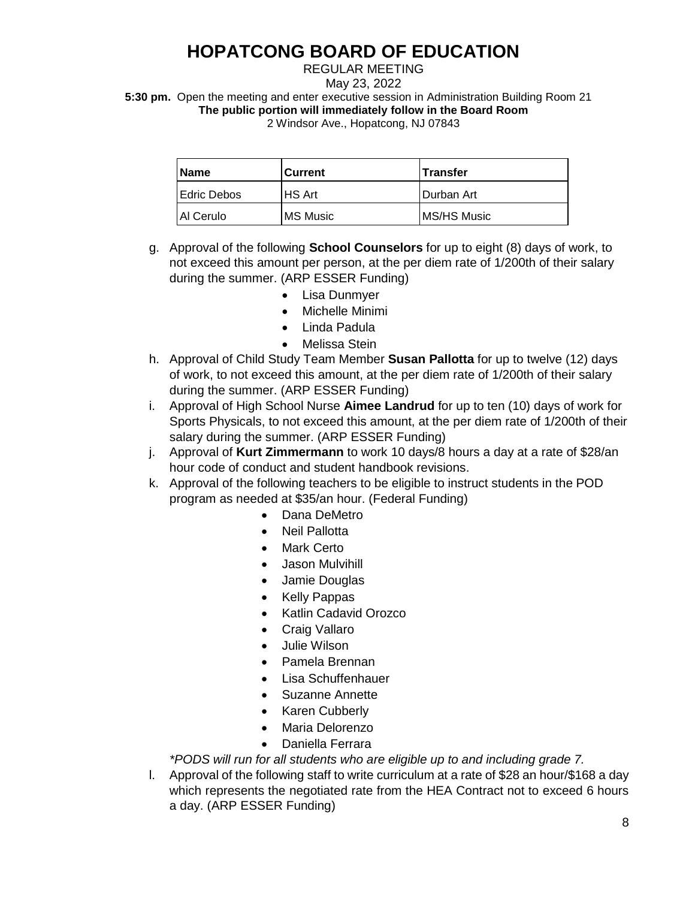### REGULAR MEETING

May 23, 2022

**5:30 pm.** Open the meeting and enter executive session in Administration Building Room 21 **The public portion will immediately follow in the Board Room**

2 Windsor Ave., Hopatcong, NJ 07843

| <b>Name</b>         | Current  | <b>Transfer</b> |
|---------------------|----------|-----------------|
| <b>IEdric Debos</b> | IHS Art  | Durban Art      |
| Al Cerulo           | MS Music | MS/HS Music     |

- g. Approval of the following **School Counselors** for up to eight (8) days of work, to not exceed this amount per person, at the per diem rate of 1/200th of their salary during the summer. (ARP ESSER Funding)
	- Lisa Dunmyer
	- Michelle Minimi
	- Linda Padula
	- Melissa Stein
- h. Approval of Child Study Team Member **Susan Pallotta** for up to twelve (12) days of work, to not exceed this amount, at the per diem rate of 1/200th of their salary during the summer. (ARP ESSER Funding)
- i. Approval of High School Nurse **Aimee Landrud** for up to ten (10) days of work for Sports Physicals, to not exceed this amount, at the per diem rate of 1/200th of their salary during the summer. (ARP ESSER Funding)
- j. Approval of **Kurt Zimmermann** to work 10 days/8 hours a day at a rate of \$28/an hour code of conduct and student handbook revisions.
- k. Approval of the following teachers to be eligible to instruct students in the POD program as needed at \$35/an hour. (Federal Funding)
	- Dana DeMetro
	- Neil Pallotta
	- Mark Certo
	- Jason Mulvihill
	- Jamie Douglas
	- Kelly Pappas
	- Katlin Cadavid Orozco
	- Craig Vallaro
	- Julie Wilson
	- Pamela Brennan
	- Lisa Schuffenhauer
	- Suzanne Annette
	- Karen Cubberly
	- Maria Delorenzo
	- Daniella Ferrara

*\*PODS will run for all students who are eligible up to and including grade 7.* 

l. Approval of the following staff to write curriculum at a rate of \$28 an hour/\$168 a day which represents the negotiated rate from the HEA Contract not to exceed 6 hours a day. (ARP ESSER Funding)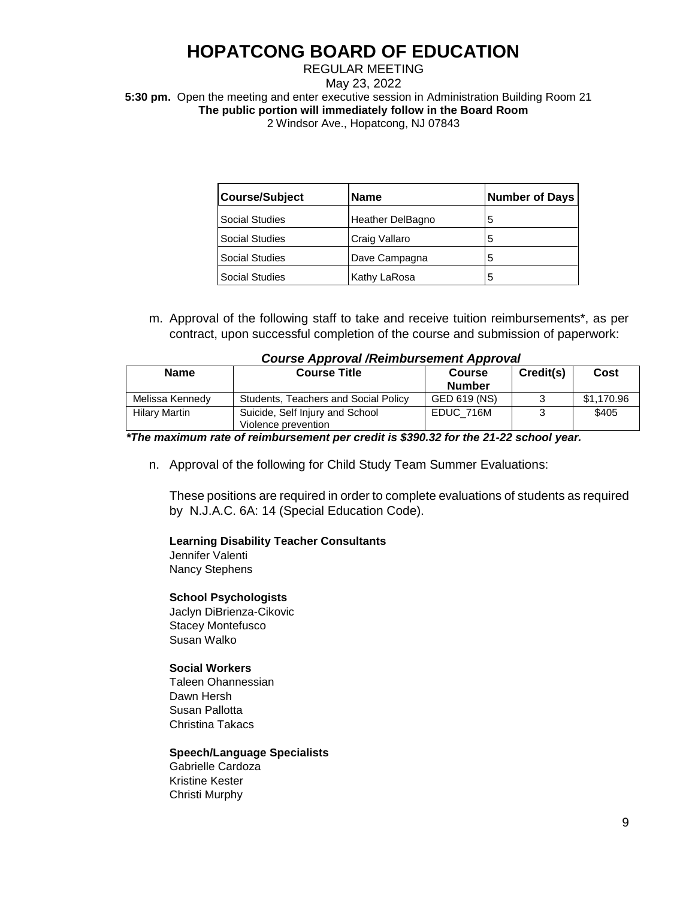### REGULAR MEETING May 23, 2022 **5:30 pm.** Open the meeting and enter executive session in Administration Building Room 21 **The public portion will immediately follow in the Board Room** 2 Windsor Ave., Hopatcong, NJ 07843

| <b>Course/Subject</b> | <b>Name</b>             | <b>Number of Days</b> |
|-----------------------|-------------------------|-----------------------|
| <b>Social Studies</b> | <b>Heather DelBagno</b> | 5                     |
| <b>Social Studies</b> | Craig Vallaro           | 5                     |
| <b>Social Studies</b> | Dave Campagna           | 5                     |
| <b>Social Studies</b> | Kathy LaRosa            | 5                     |

m. Approval of the following staff to take and receive tuition reimbursements\*, as per contract, upon successful completion of the course and submission of paperwork:

| <b>Name</b>          | <b>Course Title</b>                                    | <b>Course</b><br><b>Number</b> | Credit(s) | Cost       |
|----------------------|--------------------------------------------------------|--------------------------------|-----------|------------|
| Melissa Kennedy      | Students, Teachers and Social Policy                   | GED 619 (NS)                   |           | \$1.170.96 |
| <b>Hilary Martin</b> | Suicide, Self Injury and School<br>Violence prevention | EDUC 716M                      |           | \$405      |

 *\*The maximum rate of reimbursement per credit is \$390.32 for the 21-22 school year.*

n. Approval of the following for Child Study Team Summer Evaluations:

These positions are required in order to complete evaluations of students as required by N.J.A.C. 6A: 14 (Special Education Code).

#### **Learning Disability Teacher Consultants**

Jennifer Valenti Nancy Stephens

### **School Psychologists**

Jaclyn DiBrienza-Cikovic Stacey Montefusco Susan Walko

### **Social Workers**

Taleen Ohannessian Dawn Hersh Susan Pallotta Christina Takacs

#### **Speech/Language Specialists**

Gabrielle Cardoza Kristine Kester Christi Murphy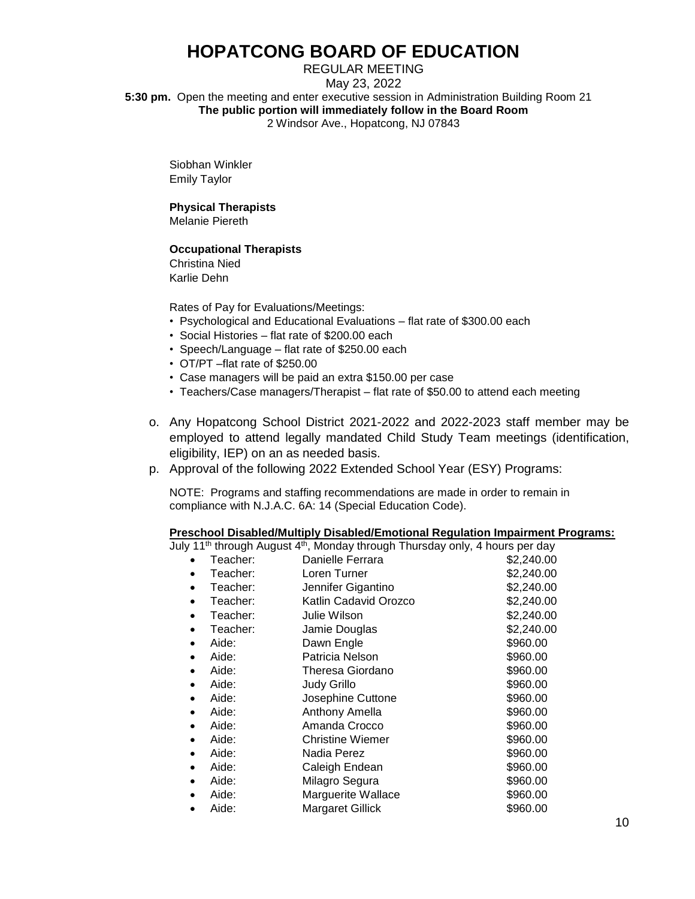REGULAR MEETING May 23, 2022 **5:30 pm.** Open the meeting and enter executive session in Administration Building Room 21 **The public portion will immediately follow in the Board Room** 2 Windsor Ave., Hopatcong, NJ 07843

Siobhan Winkler Emily Taylor

## **Physical Therapists**

Melanie Piereth

### **Occupational Therapists**

Christina Nied Karlie Dehn

Rates of Pay for Evaluations/Meetings:

- Psychological and Educational Evaluations flat rate of \$300.00 each
- Social Histories flat rate of \$200.00 each
- Speech/Language flat rate of \$250.00 each
- OT/PT –flat rate of \$250.00
- Case managers will be paid an extra \$150.00 per case
- Teachers/Case managers/Therapist flat rate of \$50.00 to attend each meeting
- o. Any Hopatcong School District 2021-2022 and 2022-2023 staff member may be employed to attend legally mandated Child Study Team meetings (identification, eligibility, IEP) on an as needed basis.
- p. Approval of the following 2022 Extended School Year (ESY) Programs:

NOTE: Programs and staffing recommendations are made in order to remain in compliance with N.J.A.C. 6A: 14 (Special Education Code).

### **Preschool Disabled/Multiply Disabled/Emotional Regulation Impairment Programs:**

July 11th through August 4th, Monday through Thursday only, 4 hours per day

|           | Teacher: | Danielle Ferrara        | \$2,240.00 |
|-----------|----------|-------------------------|------------|
|           | Teacher: | Loren Turner            | \$2,240.00 |
| $\bullet$ | Teacher: | Jennifer Gigantino      | \$2,240.00 |
| $\bullet$ | Teacher: | Katlin Cadavid Orozco   | \$2,240.00 |
| $\bullet$ | Teacher: | Julie Wilson            | \$2,240.00 |
|           | Teacher: | Jamie Douglas           | \$2,240.00 |
|           | Aide:    | Dawn Engle              | \$960.00   |
|           | Aide:    | Patricia Nelson         | \$960.00   |
|           | Aide:    | Theresa Giordano        | \$960.00   |
|           | Aide:    | Judy Grillo             | \$960.00   |
|           | Aide:    | Josephine Cuttone       | \$960.00   |
|           | Aide:    | Anthony Amella          | \$960.00   |
|           | Aide:    | Amanda Crocco           | \$960.00   |
| $\bullet$ | Aide:    | <b>Christine Wiemer</b> | \$960.00   |
| $\bullet$ | Aide:    | Nadia Perez             | \$960.00   |
| $\bullet$ | Aide:    | Caleigh Endean          | \$960.00   |
| $\bullet$ | Aide:    | Milagro Segura          | \$960.00   |
|           | Aide:    | Marguerite Wallace      | \$960.00   |
|           | Aide:    | <b>Margaret Gillick</b> | \$960.00   |
|           |          |                         |            |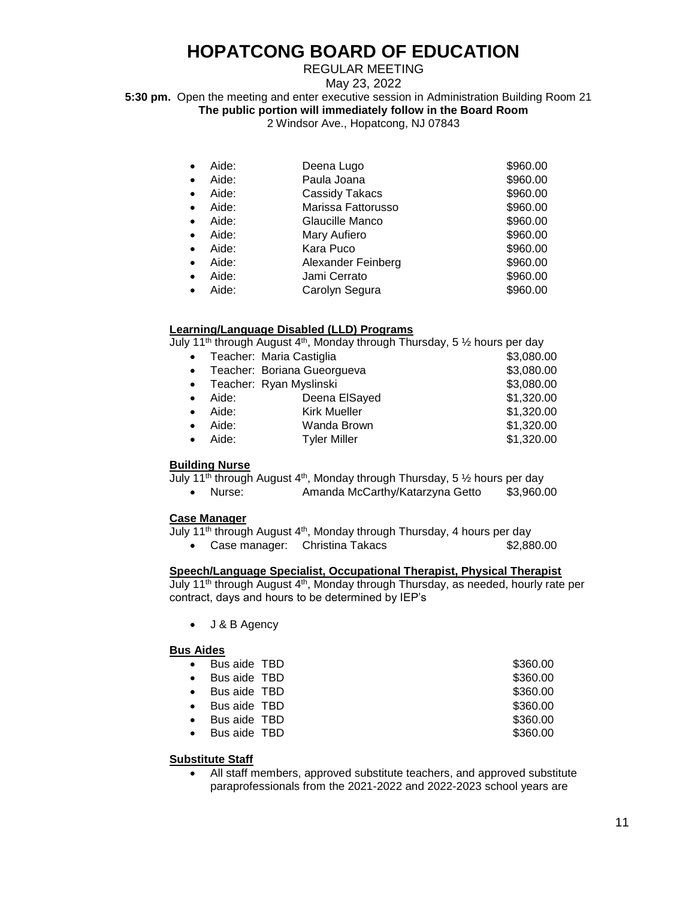## REGULAR MEETING

May 23, 2022

**5:30 pm.** Open the meeting and enter executive session in Administration Building Room 21

**The public portion will immediately follow in the Board Room**

2 Windsor Ave., Hopatcong, NJ 07843

| Aide:              | Deena Lugo         | \$960.00 |
|--------------------|--------------------|----------|
| Aide:<br>$\bullet$ | Paula Joana        | \$960.00 |
| Aide:<br>$\bullet$ | Cassidy Takacs     | \$960.00 |
| Aide:<br>$\bullet$ | Marissa Fattorusso | \$960.00 |
| Aide:<br>$\bullet$ | Glaucille Manco    | \$960.00 |
| Aide:<br>$\bullet$ | Mary Aufiero       | \$960.00 |
| Aide:<br>$\bullet$ | Kara Puco          | \$960.00 |
| Aide:<br>$\bullet$ | Alexander Feinberg | \$960.00 |
| Aide:<br>$\bullet$ | Jami Cerrato       | \$960.00 |
| Aide:              | Carolyn Segura     | \$960.00 |

### **Learning/Language Disabled (LLD) Programs**

July 11th through August 4th, Monday through Thursday, 5 ½ hours per day

|           |       | Teacher: Maria Castiglia      | \$3,080.00 |
|-----------|-------|-------------------------------|------------|
|           |       | • Teacher: Boriana Gueorgueva | \$3,080.00 |
|           |       | • Teacher: Ryan Myslinski     | \$3,080.00 |
| $\bullet$ | Aide: | Deena ElSayed                 | \$1,320.00 |
| $\bullet$ | Aide: | <b>Kirk Mueller</b>           | \$1,320.00 |
| $\bullet$ | Aide: | Wanda Brown                   | \$1,320.00 |
|           | Aide: | <b>Tyler Miller</b>           | \$1,320.00 |
|           |       |                               |            |

#### **Building Nurse**

July 11<sup>th</sup> through August 4<sup>th</sup>, Monday through Thursday, 5  $\frac{1}{2}$  hours per day

| Nurse: |  |  | Amanda McCarthy/Katarzyna Getto | \$3,960.00 |  |
|--------|--|--|---------------------------------|------------|--|
|        |  |  |                                 |            |  |

#### **Case Manager**

July 11<sup>th</sup> through August 4<sup>th</sup>, Monday through Thursday, 4 hours per day

• Case manager: Christina Takacs \$2,880.00

### **Speech/Language Specialist, Occupational Therapist, Physical Therapist**

July 11<sup>th</sup> through August 4<sup>th</sup>, Monday through Thursday, as needed, hourly rate per contract, days and hours to be determined by IEP's

• J & B Agency

#### **Bus Aides**

|           | Bus aide TBD | \$360.00 |  |
|-----------|--------------|----------|--|
|           | Bus aide TBD | \$360.00 |  |
|           | Bus aide TBD | \$360.00 |  |
| $\bullet$ | Bus aide TBD | \$360.00 |  |
|           | Bus aide TBD | \$360.00 |  |
|           | Bus aide TBD | \$360.00 |  |
|           |              |          |  |

#### **Substitute Staff**

• All staff members, approved substitute teachers, and approved substitute paraprofessionals from the 2021-2022 and 2022-2023 school years are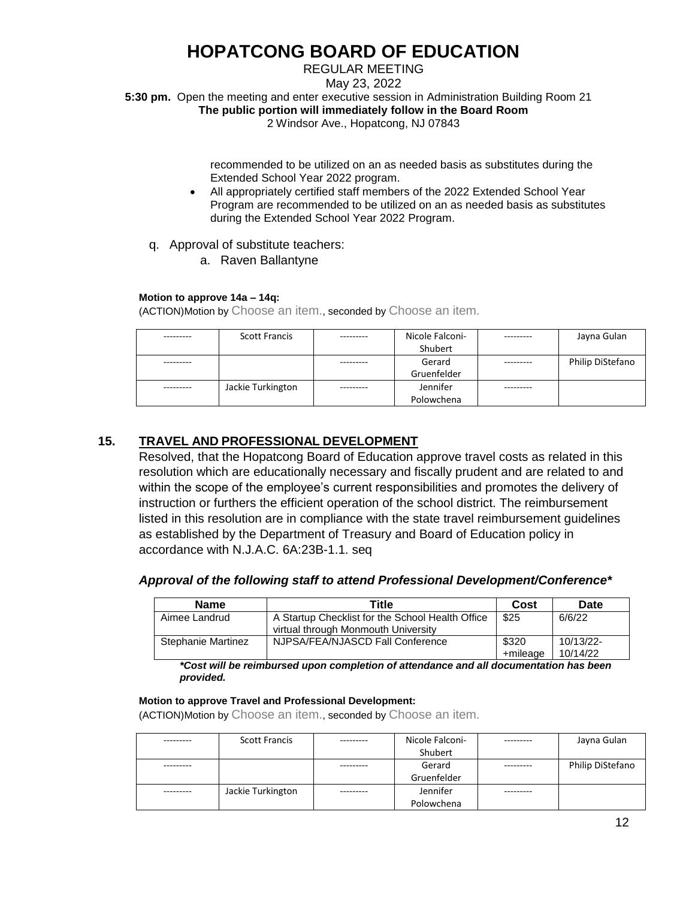REGULAR MEETING

May 23, 2022

**5:30 pm.** Open the meeting and enter executive session in Administration Building Room 21

**The public portion will immediately follow in the Board Room**

2 Windsor Ave., Hopatcong, NJ 07843

recommended to be utilized on an as needed basis as substitutes during the Extended School Year 2022 program.

- All appropriately certified staff members of the 2022 Extended School Year Program are recommended to be utilized on an as needed basis as substitutes during the Extended School Year 2022 Program.
- q. Approval of substitute teachers:
	- a. Raven Ballantyne

### **Motion to approve 14a – 14q:**

(ACTION)Motion by Choose an item., seconded by Choose an item.

| <b>Scott Francis</b> | Nicole Falconi- | Jayna Gulan      |
|----------------------|-----------------|------------------|
|                      | Shubert         |                  |
|                      | Gerard          | Philip DiStefano |
|                      | Gruenfelder     |                  |
| Jackie Turkington    | Jennifer        |                  |
|                      | Polowchena      |                  |

## **15. TRAVEL AND PROFESSIONAL DEVELOPMENT**

Resolved, that the Hopatcong Board of Education approve travel costs as related in this resolution which are educationally necessary and fiscally prudent and are related to and within the scope of the employee's current responsibilities and promotes the delivery of instruction or furthers the efficient operation of the school district. The reimbursement listed in this resolution are in compliance with the state travel reimbursement guidelines as established by the Department of Treasury and Board of Education policy in accordance with N.J.A.C. 6A:23B-1.1. seq

### *Approval of the following staff to attend Professional Development/Conference\**

| <b>Name</b>        | Title                                                                                   | Cost              | Date                  |
|--------------------|-----------------------------------------------------------------------------------------|-------------------|-----------------------|
| Aimee Landrud      | A Startup Checklist for the School Health Office<br>virtual through Monmouth University | \$25              | 6/6/22                |
| Stephanie Martinez | NJPSA/FEA/NJASCD Fall Conference                                                        | \$320<br>+mileage | 10/13/22-<br>10/14/22 |

*\*Cost will be reimbursed upon completion of attendance and all documentation has been provided.* 

#### **Motion to approve Travel and Professional Development:**

| <b>Scott Francis</b> | Nicole Falconi- | Jayna Gulan      |
|----------------------|-----------------|------------------|
|                      | Shubert         |                  |
|                      | Gerard          | Philip DiStefano |
|                      | Gruenfelder     |                  |
| Jackie Turkington    | Jennifer        |                  |
|                      | Polowchena      |                  |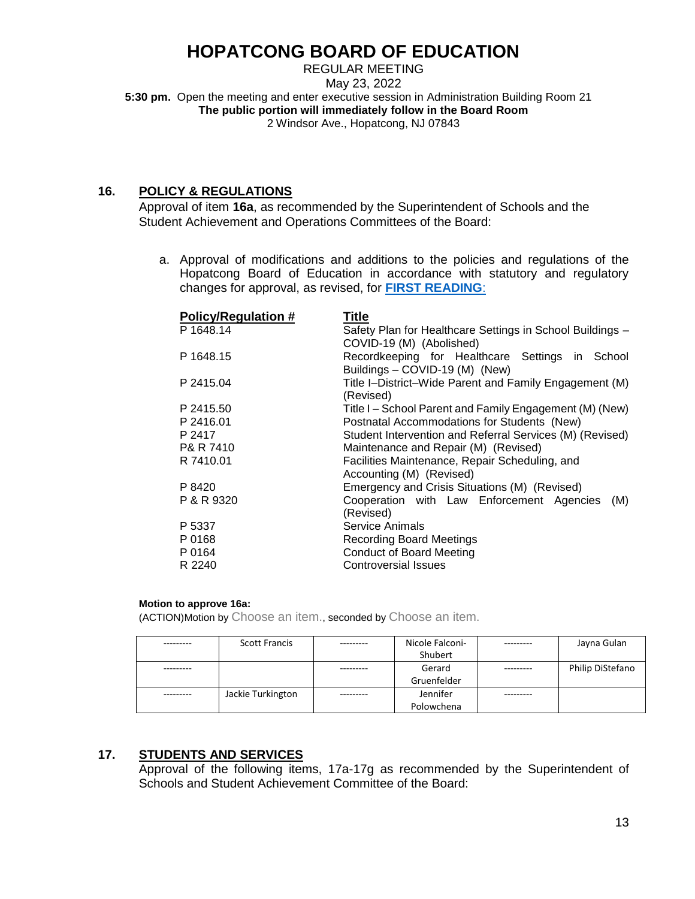REGULAR MEETING May 23, 2022 **5:30 pm.** Open the meeting and enter executive session in Administration Building Room 21 **The public portion will immediately follow in the Board Room** 2 Windsor Ave., Hopatcong, NJ 07843

## **16. POLICY & REGULATIONS**

Approval of item **16a**, as recommended by the Superintendent of Schools and the Student Achievement and Operations Committees of the Board:

a. Approval of modifications and additions to the policies and regulations of the Hopatcong Board of Education in accordance with statutory and regulatory changes for approval, as revised, for **[FIRST READING](https://www.hopatcongschools.org/files/do/PnR/PnR.pdf)**:

| P 1648.14<br>Safety Plan for Healthcare Settings in School Buildings -<br>COVID-19 (M) (Abolished)<br>P 1648.15<br>Recordkeeping for Healthcare Settings in School<br>Buildings - COVID-19 (M) (New)<br>Title I-District-Wide Parent and Family Engagement (M)<br>P 2415.04<br>(Revised)<br>P 2415.50<br>Title I – School Parent and Family Engagement (M) (New)<br>P 2416.01<br>Postnatal Accommodations for Students (New)<br>P 2417<br>Student Intervention and Referral Services (M) (Revised)<br>P& R 7410<br>Maintenance and Repair (M) (Revised)<br>Facilities Maintenance, Repair Scheduling, and<br>R 7410.01<br>Accounting (M) (Revised)<br>Emergency and Crisis Situations (M) (Revised)<br>P 8420<br>Cooperation with Law Enforcement Agencies<br>P & R 9320<br>(M)<br>(Revised)<br>Service Animals<br>P 5337<br>P 0168<br><b>Recording Board Meetings</b><br>P 0164<br><b>Conduct of Board Meeting</b><br>R 2240<br><b>Controversial Issues</b> | <b>Policy/Regulation #</b> | <b>Title</b> |  |  |  |  |
|--------------------------------------------------------------------------------------------------------------------------------------------------------------------------------------------------------------------------------------------------------------------------------------------------------------------------------------------------------------------------------------------------------------------------------------------------------------------------------------------------------------------------------------------------------------------------------------------------------------------------------------------------------------------------------------------------------------------------------------------------------------------------------------------------------------------------------------------------------------------------------------------------------------------------------------------------------------|----------------------------|--------------|--|--|--|--|
|                                                                                                                                                                                                                                                                                                                                                                                                                                                                                                                                                                                                                                                                                                                                                                                                                                                                                                                                                              |                            |              |  |  |  |  |
|                                                                                                                                                                                                                                                                                                                                                                                                                                                                                                                                                                                                                                                                                                                                                                                                                                                                                                                                                              |                            |              |  |  |  |  |
|                                                                                                                                                                                                                                                                                                                                                                                                                                                                                                                                                                                                                                                                                                                                                                                                                                                                                                                                                              |                            |              |  |  |  |  |
|                                                                                                                                                                                                                                                                                                                                                                                                                                                                                                                                                                                                                                                                                                                                                                                                                                                                                                                                                              |                            |              |  |  |  |  |
|                                                                                                                                                                                                                                                                                                                                                                                                                                                                                                                                                                                                                                                                                                                                                                                                                                                                                                                                                              |                            |              |  |  |  |  |
|                                                                                                                                                                                                                                                                                                                                                                                                                                                                                                                                                                                                                                                                                                                                                                                                                                                                                                                                                              |                            |              |  |  |  |  |
|                                                                                                                                                                                                                                                                                                                                                                                                                                                                                                                                                                                                                                                                                                                                                                                                                                                                                                                                                              |                            |              |  |  |  |  |
|                                                                                                                                                                                                                                                                                                                                                                                                                                                                                                                                                                                                                                                                                                                                                                                                                                                                                                                                                              |                            |              |  |  |  |  |
|                                                                                                                                                                                                                                                                                                                                                                                                                                                                                                                                                                                                                                                                                                                                                                                                                                                                                                                                                              |                            |              |  |  |  |  |
|                                                                                                                                                                                                                                                                                                                                                                                                                                                                                                                                                                                                                                                                                                                                                                                                                                                                                                                                                              |                            |              |  |  |  |  |
|                                                                                                                                                                                                                                                                                                                                                                                                                                                                                                                                                                                                                                                                                                                                                                                                                                                                                                                                                              |                            |              |  |  |  |  |
|                                                                                                                                                                                                                                                                                                                                                                                                                                                                                                                                                                                                                                                                                                                                                                                                                                                                                                                                                              |                            |              |  |  |  |  |
|                                                                                                                                                                                                                                                                                                                                                                                                                                                                                                                                                                                                                                                                                                                                                                                                                                                                                                                                                              |                            |              |  |  |  |  |
|                                                                                                                                                                                                                                                                                                                                                                                                                                                                                                                                                                                                                                                                                                                                                                                                                                                                                                                                                              |                            |              |  |  |  |  |
|                                                                                                                                                                                                                                                                                                                                                                                                                                                                                                                                                                                                                                                                                                                                                                                                                                                                                                                                                              |                            |              |  |  |  |  |
|                                                                                                                                                                                                                                                                                                                                                                                                                                                                                                                                                                                                                                                                                                                                                                                                                                                                                                                                                              |                            |              |  |  |  |  |
|                                                                                                                                                                                                                                                                                                                                                                                                                                                                                                                                                                                                                                                                                                                                                                                                                                                                                                                                                              |                            |              |  |  |  |  |
|                                                                                                                                                                                                                                                                                                                                                                                                                                                                                                                                                                                                                                                                                                                                                                                                                                                                                                                                                              |                            |              |  |  |  |  |
|                                                                                                                                                                                                                                                                                                                                                                                                                                                                                                                                                                                                                                                                                                                                                                                                                                                                                                                                                              |                            |              |  |  |  |  |

### **Motion to approve 16a:**

(ACTION)Motion by Choose an item., seconded by Choose an item.

|           | <b>Scott Francis</b> |           | Nicole Falconi- |           | Jayna Gulan      |
|-----------|----------------------|-----------|-----------------|-----------|------------------|
|           |                      |           | Shubert         |           |                  |
| --------  |                      |           | Gerard          |           | Philip DiStefano |
|           |                      |           | Gruenfelder     |           |                  |
| --------- | Jackie Turkington    | --------- | Jennifer        | --------- |                  |
|           |                      |           | Polowchena      |           |                  |

## **17. STUDENTS AND SERVICES**

Approval of the following items, 17a-17g as recommended by the Superintendent of Schools and Student Achievement Committee of the Board: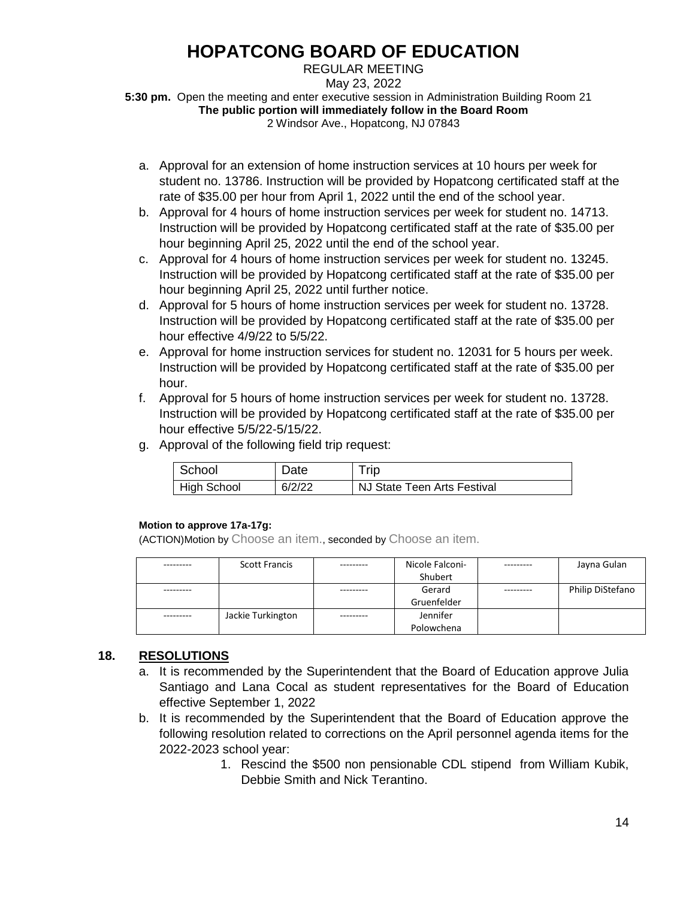REGULAR MEETING

May 23, 2022

**5:30 pm.** Open the meeting and enter executive session in Administration Building Room 21 **The public portion will immediately follow in the Board Room** 2 Windsor Ave., Hopatcong, NJ 07843

a. Approval for an extension of home instruction services at 10 hours per week for student no. 13786. Instruction will be provided by Hopatcong certificated staff at the rate of \$35.00 per hour from April 1, 2022 until the end of the school year.

- b. Approval for 4 hours of home instruction services per week for student no. 14713. Instruction will be provided by Hopatcong certificated staff at the rate of \$35.00 per hour beginning April 25, 2022 until the end of the school year.
- c. Approval for 4 hours of home instruction services per week for student no. 13245. Instruction will be provided by Hopatcong certificated staff at the rate of \$35.00 per hour beginning April 25, 2022 until further notice.
- d. Approval for 5 hours of home instruction services per week for student no. 13728. Instruction will be provided by Hopatcong certificated staff at the rate of \$35.00 per hour effective 4/9/22 to 5/5/22.
- e. Approval for home instruction services for student no. 12031 for 5 hours per week. Instruction will be provided by Hopatcong certificated staff at the rate of \$35.00 per hour.
- f. Approval for 5 hours of home instruction services per week for student no. 13728. Instruction will be provided by Hopatcong certificated staff at the rate of \$35.00 per hour effective 5/5/22-5/15/22.
- g. Approval of the following field trip request:

| School      | Date   | Trip                        |
|-------------|--------|-----------------------------|
| High School | 6/2/22 | NJ State Teen Arts Festival |

### **Motion to approve 17a-17g:**

(ACTION)Motion by Choose an item., seconded by Choose an item.

| <b>Scott Francis</b> | Nicole Falconi-<br>Shubert | Jayna Gulan      |
|----------------------|----------------------------|------------------|
|                      |                            |                  |
|                      | Gerard                     | Philip DiStefano |
|                      | Gruenfelder                |                  |
| Jackie Turkington    | Jennifer                   |                  |
|                      | Polowchena                 |                  |

## **18. RESOLUTIONS**

- a. It is recommended by the Superintendent that the Board of Education approve Julia Santiago and Lana Cocal as student representatives for the Board of Education effective September 1, 2022
- b. It is recommended by the Superintendent that the Board of Education approve the following resolution related to corrections on the April personnel agenda items for the 2022-2023 school year:
	- 1. Rescind the \$500 non pensionable CDL stipend from William Kubik, Debbie Smith and Nick Terantino.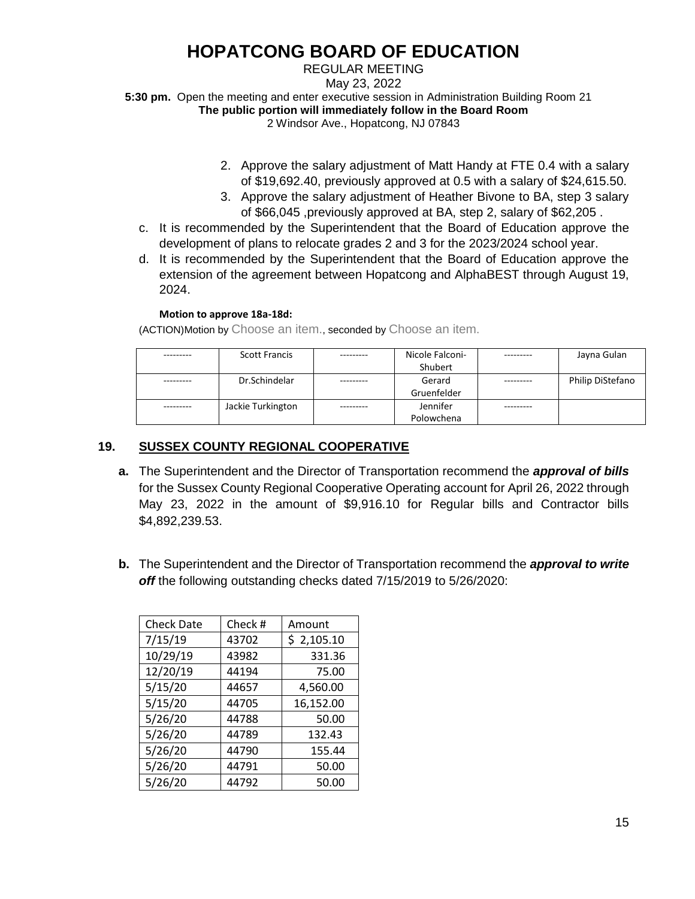### REGULAR MEETING

May 23, 2022

**5:30 pm.** Open the meeting and enter executive session in Administration Building Room 21

**The public portion will immediately follow in the Board Room**

2 Windsor Ave., Hopatcong, NJ 07843

- 2. Approve the salary adjustment of Matt Handy at FTE 0.4 with a salary of \$19,692.40, previously approved at 0.5 with a salary of \$24,615.50.
- 3. Approve the salary adjustment of Heather Bivone to BA, step 3 salary of \$66,045 ,previously approved at BA, step 2, salary of \$62,205 .
- c. It is recommended by the Superintendent that the Board of Education approve the development of plans to relocate grades 2 and 3 for the 2023/2024 school year.
- d. It is recommended by the Superintendent that the Board of Education approve the extension of the agreement between Hopatcong and AlphaBEST through August 19, 2024.

### **Motion to approve 18a-18d:**

(ACTION)Motion by Choose an item., seconded by Choose an item.

| <b>Scott Francis</b> | Nicole Falconi- | Jayna Gulan      |
|----------------------|-----------------|------------------|
|                      | Shubert         |                  |
| Dr.Schindelar        | Gerard          | Philip DiStefano |
|                      | Gruenfelder     |                  |
| Jackie Turkington    | Jennifer        |                  |
|                      | Polowchena      |                  |

## **19. SUSSEX COUNTY REGIONAL COOPERATIVE**

- **a.** The Superintendent and the Director of Transportation recommend the *approval of bills* for the Sussex County Regional Cooperative Operating account for April 26, 2022 through May 23, 2022 in the amount of \$9,916.10 for Regular bills and Contractor bills \$4,892,239.53.
- **b.** The Superintendent and the Director of Transportation recommend the *approval to write off* the following outstanding checks dated 7/15/2019 to 5/26/2020:

| <b>Check Date</b> | Check# | Amount     |
|-------------------|--------|------------|
| 7/15/19           | 43702  | \$2,105.10 |
| 10/29/19          | 43982  | 331.36     |
| 12/20/19          | 44194  | 75.00      |
| 5/15/20           | 44657  | 4,560.00   |
| 5/15/20           | 44705  | 16,152.00  |
| 5/26/20           | 44788  | 50.00      |
| 5/26/20           | 44789  | 132.43     |
| 5/26/20           | 44790  | 155.44     |
| 5/26/20           | 44791  | 50.00      |
| 5/26/20           | 44792  | 50.00      |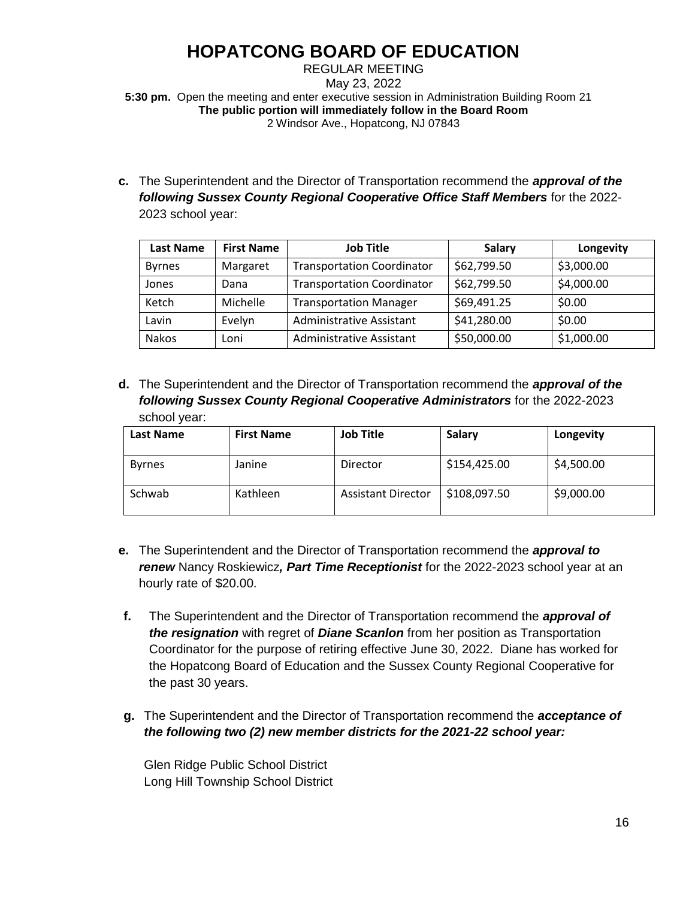### REGULAR MEETING May 23, 2022 **5:30 pm.** Open the meeting and enter executive session in Administration Building Room 21 **The public portion will immediately follow in the Board Room** 2 Windsor Ave., Hopatcong, NJ 07843

**c.** The Superintendent and the Director of Transportation recommend the *approval of the following Sussex County Regional Cooperative Office Staff Members* for the 2022- 2023 school year:

| <b>Last Name</b> | <b>First Name</b> | <b>Job Title</b>                  | <b>Salary</b> | Longevity  |
|------------------|-------------------|-----------------------------------|---------------|------------|
| <b>Byrnes</b>    | Margaret          | <b>Transportation Coordinator</b> | \$62,799.50   | \$3,000.00 |
| Jones            | Dana              | <b>Transportation Coordinator</b> | \$62,799.50   | \$4,000.00 |
| Ketch            | Michelle          | <b>Transportation Manager</b>     | \$69,491.25   | \$0.00     |
| Lavin            | Evelyn            | <b>Administrative Assistant</b>   | \$41,280.00   | \$0.00     |
| Nakos            | Loni              | Administrative Assistant          | \$50,000.00   | \$1,000.00 |

**d.** The Superintendent and the Director of Transportation recommend the *approval of the following Sussex County Regional Cooperative Administrators* for the 2022-2023 school year:

| <b>Last Name</b> | <b>First Name</b> | <b>Job Title</b>          | Salary       | Longevity  |
|------------------|-------------------|---------------------------|--------------|------------|
| <b>Byrnes</b>    | Janine            | Director                  | \$154,425.00 | \$4,500.00 |
| Schwab           | Kathleen          | <b>Assistant Director</b> | \$108,097.50 | \$9,000.00 |

- **e.** The Superintendent and the Director of Transportation recommend the *approval to renew* Nancy Roskiewicz*, Part Time Receptionist* for the 2022-2023 school year at an hourly rate of \$20.00.
- **f.** The Superintendent and the Director of Transportation recommend the *approval of the resignation* with regret of *Diane Scanlon* from her position as Transportation Coordinator for the purpose of retiring effective June 30, 2022. Diane has worked for the Hopatcong Board of Education and the Sussex County Regional Cooperative for the past 30 years.
- **g.** The Superintendent and the Director of Transportation recommend the *acceptance of the following two (2) new member districts for the 2021-22 school year:*

Glen Ridge Public School District Long Hill Township School District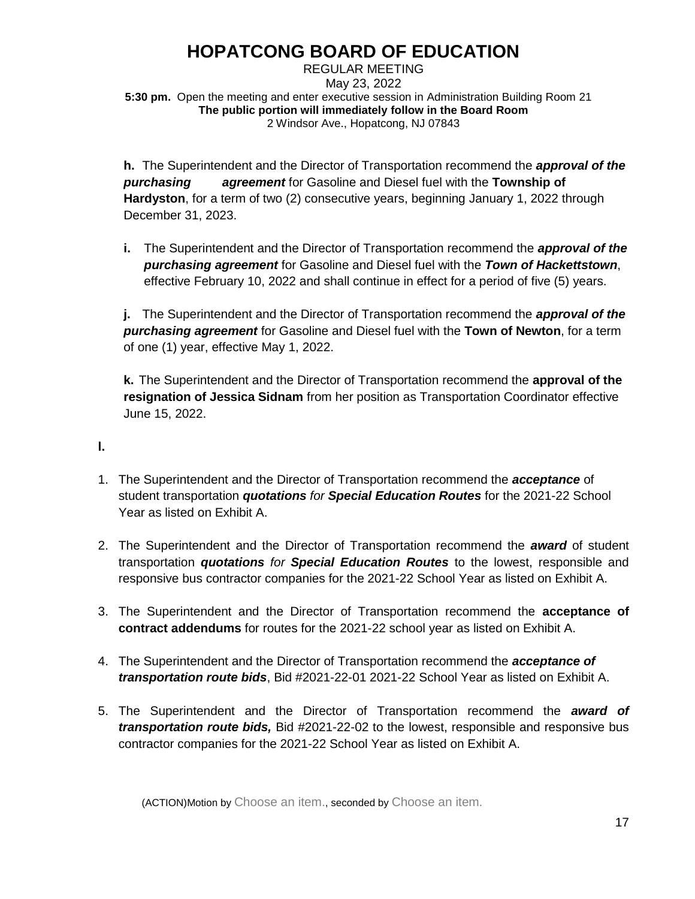REGULAR MEETING May 23, 2022 **5:30 pm.** Open the meeting and enter executive session in Administration Building Room 21 **The public portion will immediately follow in the Board Room** 2 Windsor Ave., Hopatcong, NJ 07843

**h.** The Superintendent and the Director of Transportation recommend the *approval of the purchasing agreement* for Gasoline and Diesel fuel with the **Township of Hardyston**, for a term of two (2) consecutive years, beginning January 1, 2022 through December 31, 2023.

**i.** The Superintendent and the Director of Transportation recommend the *approval of the purchasing agreement* for Gasoline and Diesel fuel with the *Town of Hackettstown*, effective February 10, 2022 and shall continue in effect for a period of five (5) years.

**j.** The Superintendent and the Director of Transportation recommend the *approval of the purchasing agreement* for Gasoline and Diesel fuel with the **Town of Newton**, for a term of one (1) year, effective May 1, 2022.

**k.** The Superintendent and the Director of Transportation recommend the **approval of the resignation of Jessica Sidnam** from her position as Transportation Coordinator effective June 15, 2022.

**l.**

- 1. The Superintendent and the Director of Transportation recommend the *acceptance* of student transportation *quotations for Special Education Routes* for the 2021-22 School Year as listed on Exhibit A.
- 2. The Superintendent and the Director of Transportation recommend the *award* of student transportation *quotations for Special Education Routes* to the lowest, responsible and responsive bus contractor companies for the 2021-22 School Year as listed on Exhibit A.
- 3. The Superintendent and the Director of Transportation recommend the **acceptance of contract addendums** for routes for the 2021-22 school year as listed on Exhibit A.
- 4. The Superintendent and the Director of Transportation recommend the *acceptance of transportation route bids*, Bid #2021-22-01 2021-22 School Year as listed on Exhibit A.
- 5. The Superintendent and the Director of Transportation recommend the *award of transportation route bids,* Bid #2021-22-02 to the lowest, responsible and responsive bus contractor companies for the 2021-22 School Year as listed on Exhibit A.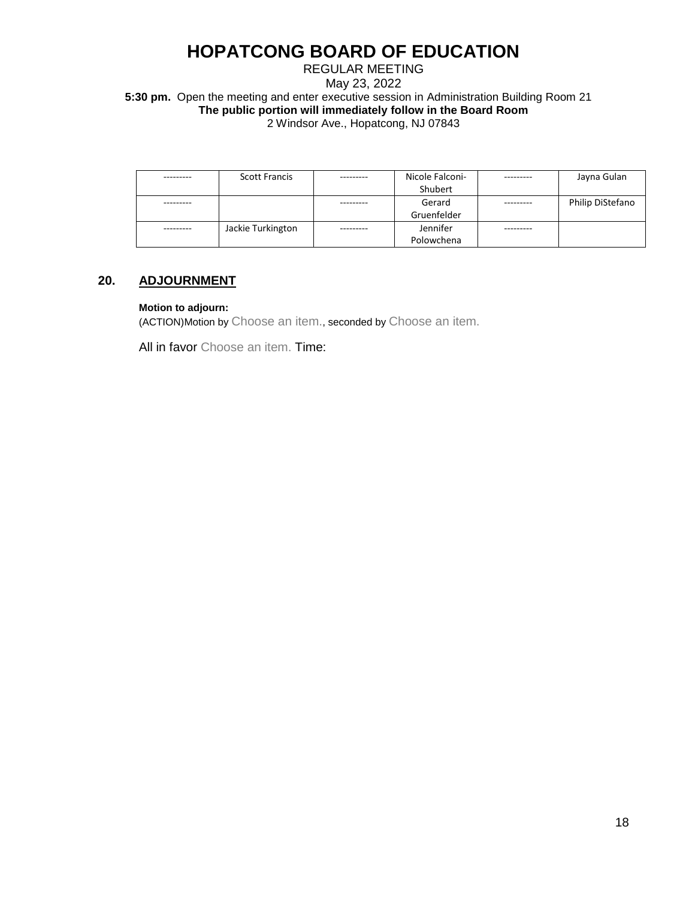### REGULAR MEETING May 23, 2022 **5:30 pm.** Open the meeting and enter executive session in Administration Building Room 21 **The public portion will immediately follow in the Board Room** 2 Windsor Ave., Hopatcong, NJ 07843

| <b>Scott Francis</b> | Nicole Falconi- | Jayna Gulan      |
|----------------------|-----------------|------------------|
|                      | Shubert         |                  |
|                      | Gerard          | Philip DiStefano |
|                      | Gruenfelder     |                  |
| Jackie Turkington    | Jennifer        |                  |
|                      | Polowchena      |                  |

## **20. ADJOURNMENT**

### **Motion to adjourn:**

(ACTION)Motion by Choose an item., seconded by Choose an item.

All in favor Choose an item. Time: